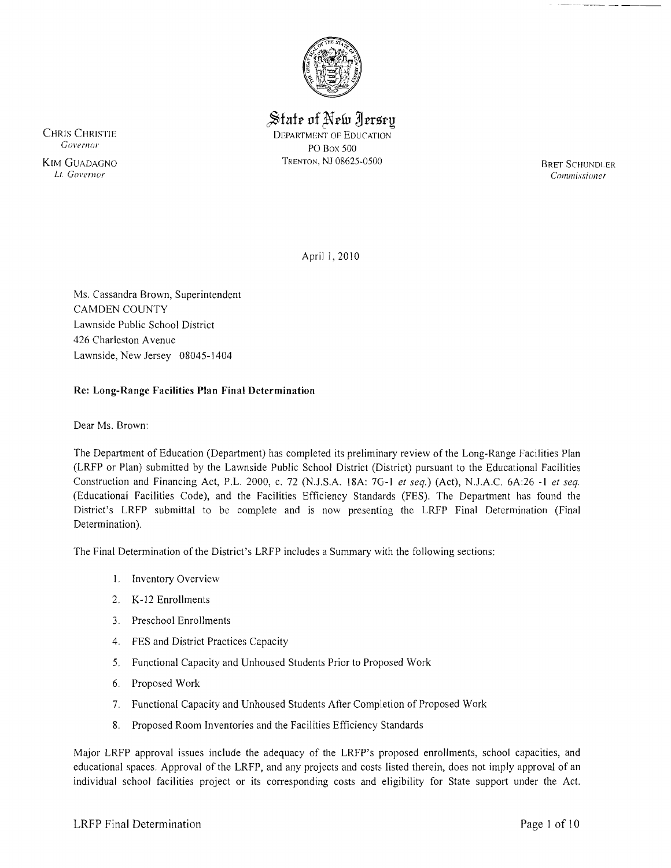

 $\mathcal S$ tate of New Jersey CHRIS CHRISTIE DEPARTMENT OF EDUCATION<br> *Governor*<br>
DO BOX 500 *Governor* PO Box 500

KIM GUADAGNO **TRENTON, NJ 08625-0500** TRENTON, NJ 08625-0500 BRET SCHUNDLER<br> *Lt. Governor* Commissioner Lt. *Governor CO/llillissioller* 

April 1, 2010

Ms. Cassandra Brown, Superintendent CAMDEN COUNTY Lawnside Public School District 426 Charleston Avenue Lawnside, New Jersey 08045-1404

## Re: Long-Range Facilities Plan Final Determination

Dear Ms. Brown:

The Department of Education (Department) has completed its preliminary review of the Long-Range Facilities Plan (LRFP or Plan) submitted by the Lawnside Public School District (District) pursuant to the Educational Facilities Construction and Financing Act, P.L. 2000, c. 72 (N.J.S.A. l8A: 7G-l *et seq.)* (Act), N.J.A.C. 6A:26 -I *et seq.*  (Educational Facilities Code), and the Facilities Efficiency Standards (FES). The Department has found the District's LRFP submittal to be complete and is now presenting the LRFP Final Determination (Final Determination).

The Final Determination of the District's LRFP includes a Summary with the following sections:

- I. Inventory Overview
- 2. K-12 Enrollments
- 3. Preschool Enrollments
- 4. FES and District Practices Capacity
- 5. Functional Capacity and Unhoused Students Prior to Proposed Work
- 6. Proposed Work
- 7. Functional Capacity and Unhoused Students After Completion of Proposed Work
- 8. Proposed Room Inventories and the Facilities Efficiency Standards

Major LRFP approval issues include the adequacy of the LRFP's proposed enrollments, school capacities, and educational spaces. Approval of the LRFP, and any projects and *costs* listed therein, does not imply approval of an individual school facilities project or its corresponding costs and eligibility for State support under the Act.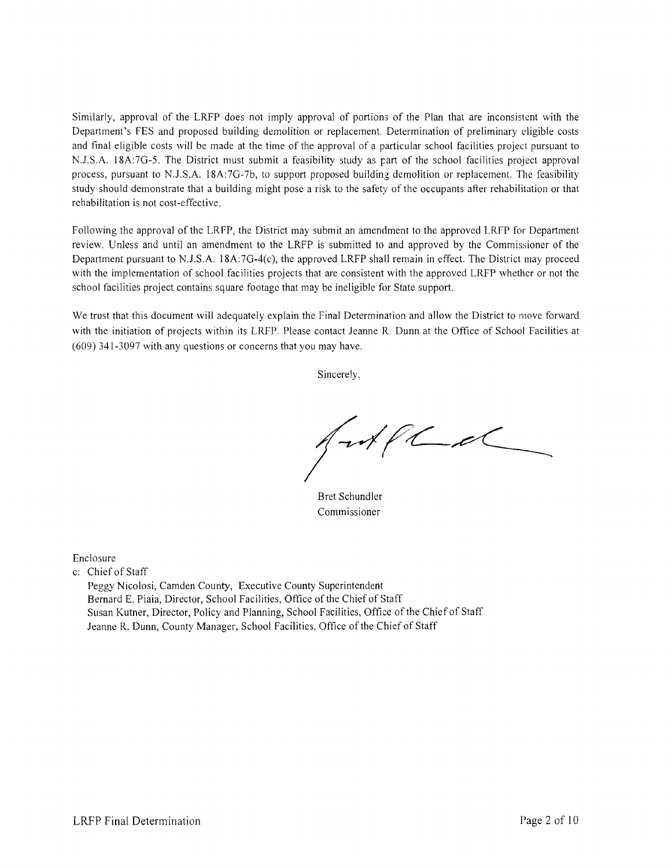Similarly, approval of the LRFP does not imply approval of portions of the Plan that are inconsistent with the Department's FES and proposed building demolition or replacement. Determination of preliminary eligible costs and final eligible costs will be made at the time of the approval of a particular school facilities project pursuant to N.J.S.A. 18A:7G-S. The District must submit a feasibility study as part of the school facilities project approval process, pursuant to N.l.S.A. 18A:7G-7b, to support proposed building demolition or replacement. The feasibility study should demonstrate that a building might pose a risk to the safety of the occupants after rehabilitation or that rehabilitation is not cost-effective.

Following the approval of the LRFP, the District may submit an amendment to the approved LRFP for Department review. Unless and until an amendment to the LRFP is submitted to and approved by the Commissioner of the Department pursuant to N.J.S.A.  $18A:7G-4(c)$ , the approved LRFP shall remain in effect. The District may proceed with the implementation of school facilities projects that are consistent with the approved LRFP whether or not the school facilities project contains square footage that may be ineligible for State support.

We trust that this document will adequately explain the Final Determination and allow the District to move forward with the initiation of projects within its LRFP. Please contact Jeanne R. Dunn at the Office of School Facilities at (609) 341-3097 with any questions or concerns that you may have.

Sincerely,

 $\mathscr{A}$ f $\mathscr{C}$ 

Bret Schundler Commissioner

Enclosure

c: Chief of Staff

Peggy Nicolosi, Camden County, Executive County Superintendent Bernard E. Piaia, Director, School Facilities, Office of the Chief of Staff Susan Kutner, Director, Policy and Planning, School Facilities, Office of the Chief of Staff Jeanne R. Dunn, County Manager, School Facilities, Office of the Chief of Staff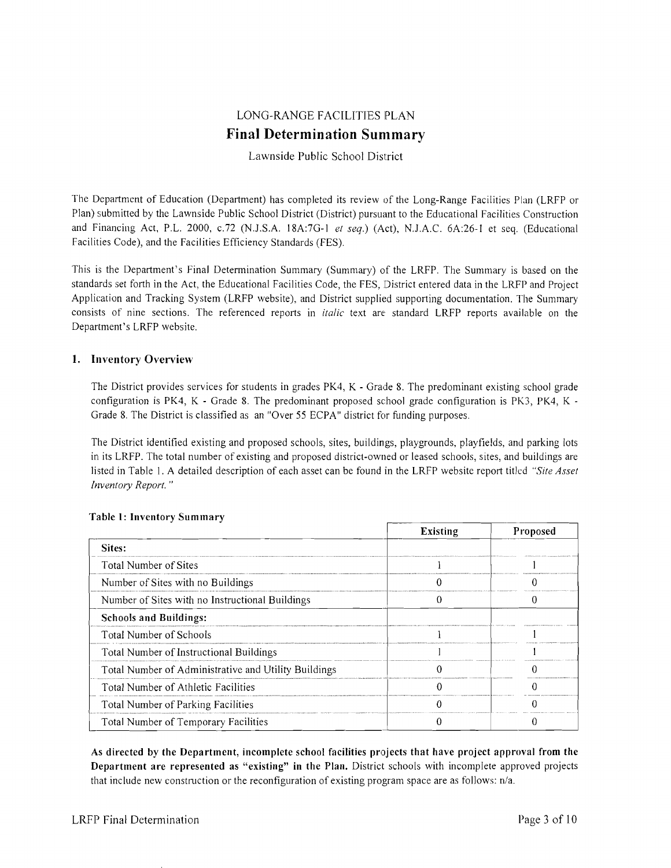# LONG-RANGE FACILITIES PLAN **Final Determination Summary**

## Lawnside Public School District

The Department of Education (Department) has completed its review of the Long-Range Facilities Plan (LRFP or Plan) submitted by the Lawnside Public School District (District) pursuant to the Educational Facilities Construction and Financing Act, P.L. 2000, c.72 (N.J.S.A. 18A:7G-I *et seq.)* (Act), N.J.A.C. 6A:26-1 et seq. (Educational Facilities Code), and the Facilities Efficiency Standards (FES).

This is the Department's Final Determination Summary (Summary) of the LRFP. The Summary is based on the standards set forth in the Act, the Educational Facilities Code, the FES, District entered data in the LRFP and Project Application and Tracking System (LRFP website), and District supplied supporting documentation. The Summary consists of nine sections. The referenced reports in *italic* text are standard LRFP reports available on the Department's LRFP website.

### 1. Inventory Overview

The District provides services for students in grades PK4, K - Grade 8. The predominant existing school grade configuration is PK4, K - Grade 8. The predominant proposed school grade configuration is PK3, PK4, K Grade 8. The District is classified as an "Over 55 ECPA" district for funding purposes.

The District identified existing and proposed schools, sites, buildings, playgrounds, playfields, and parking lots in its LRFP. The total number of existing and proposed district-owned or leased schools, sites, and buildings are listed in Table I. A detailed description of each asset can be found in the LRFP website report titled *"Site Asset Inventory Report. "* 

|                                                      | Existing | Proposed |
|------------------------------------------------------|----------|----------|
| Sites:                                               |          |          |
| Total Number of Sites                                |          |          |
| Number of Sites with no Buildings                    |          |          |
| Number of Sites with no Instructional Buildings      |          |          |
| <b>Schools and Buildings:</b>                        |          |          |
| Total Number of Schools                              |          |          |
| Total Number of Instructional Buildings              |          |          |
| Total Number of Administrative and Utility Buildings |          |          |
| Total Number of Athletic Facilities                  |          |          |
| Total Number of Parking Facilities                   |          |          |
| Total Number of Temporary Facilities                 |          |          |

#### Table l' Inventory Summary

As directed by the Department, incomplete school facilities projects that have project approval from the Department are represented as "existing" in the Plan. District schools with incomplete approved projects that include new construction or the reconfiguration of existing program space are as follows:  $n/a$ .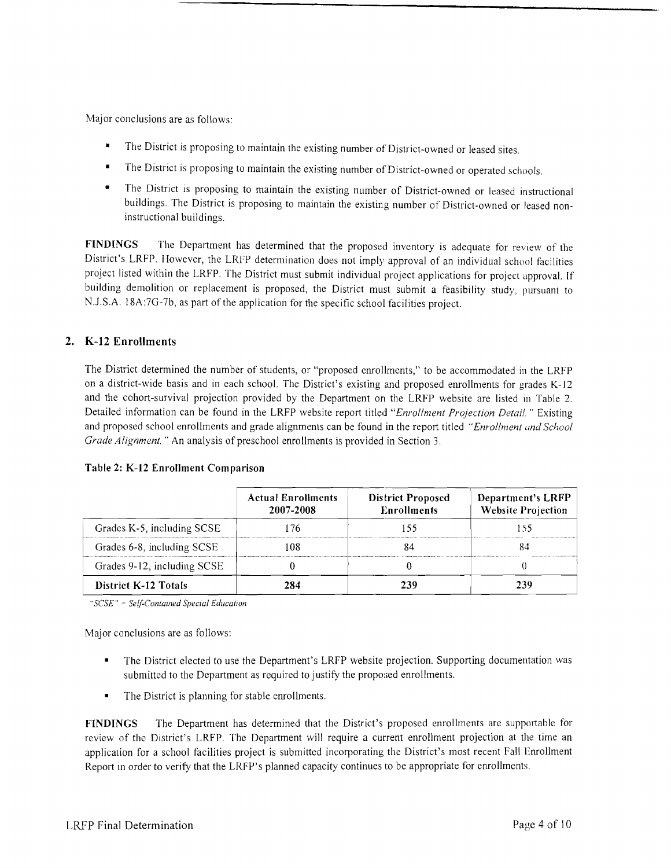Major conclusions are as follows:

- The District is proposing to maintain the existing number of District-owned or leased sites.
- The District is proposing to maintain the existing number of District-owned or operated schools.
- The District is proposing to maintain the existing number of District-owned or leased instructional buildings. The District is proposing to maintain the existing number of District-owned or leased noninstructional buildings.

FINDINGS The Department has determined that the proposed inventory is adequate for review of the District's LRFP. However, the LRFP determination does not imply approval of an individual school facilities project listed within the LRFP. The District must submit individual project applications for project approval. If building demolition or replacement is proposed, the District must submit a feasibility study, pursuant to NJ.S.A. 18A:7G-7b, as part of the application for the specific school facilities project.

## *2. K-12* Enrollments

The District determined the number of students, or "proposed enrollments," to be accommodated in the LRFP on a district-wide basis and in each school. The District's existing and proposed enrollments for grades K-12 and the cohort-survival projection provided by the Department on the LRFP website are listed in Table 2. Detailed information can be found in the LRFP website report titled *"Enrollment Projection Detail.* " Existing and proposed school enrollments and grade alignments can be found in the report titled *"Enrollment and School Grade Alignment.* " An analysis of preschool enrollments is provided in Section 3.

| Table 2: K-12 Enrollment Comparison |  |
|-------------------------------------|--|
|-------------------------------------|--|

|                             | <b>Actual Enrollments</b><br>2007-2008 | <b>District Proposed</b><br><b>Enrollments</b> | <b>Department's LRFP</b><br><b>Website Projection</b> |
|-----------------------------|----------------------------------------|------------------------------------------------|-------------------------------------------------------|
| Grades K-5, including SCSE  | -76                                    |                                                |                                                       |
| Grades 6-8, including SCSE  | 108                                    |                                                |                                                       |
| Grades 9-12, including SCSE |                                        |                                                |                                                       |
| <b>District K-12 Totals</b> | 284                                    |                                                | 239                                                   |

" $SCSE$ " = Self-Contained Special Education

Major conclusions are as follows:

- The District elected to use the Department's LRFP website projection. Supporting documentation was submitted to the Department as required to justify the proposed enrollments.
- The District is planning for stable enrollments.

FINDINGS The Department has determined that the District's proposed enrollments are supportable for review of the District's LRFP. The Department will require a current enrollment projection at the time an application for a school facilities project is submitted incorporating the District's most recent Fall Enrollment Report in order to verify that the LRFP's planned capacity continues to be appropriate for enrollments.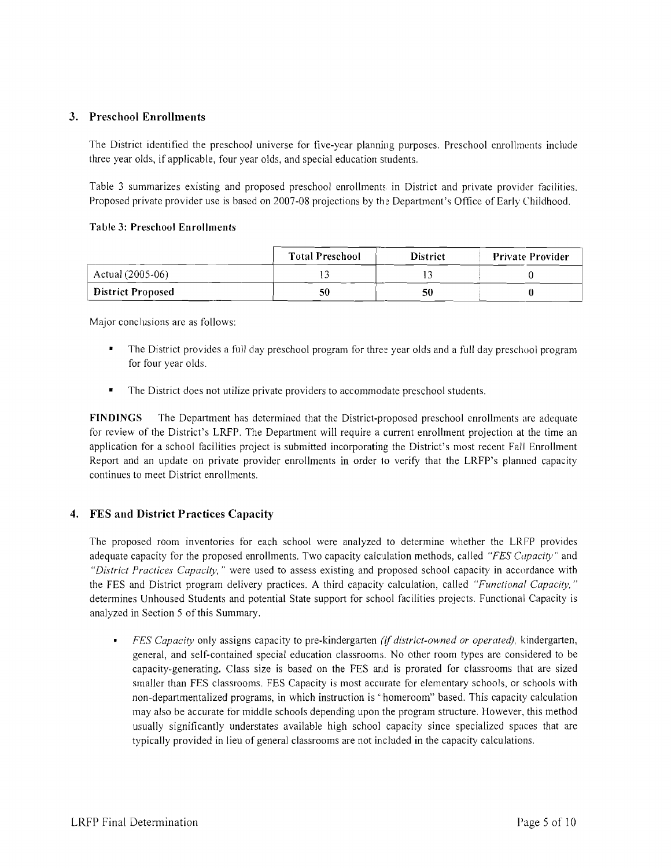## 3. Preschool Enrollments

The District identified the preschool universe for five-year planning purposes. Preschool enrollments include three year olds, if applicable, four year olds, and special education students.

Table 3 summarizes existing and proposed preschool enrollments in District and private provider facilities. Proposed private provider use is based on 2007-08 projections by the Department's Office of Early Childhood.

#### Table 3: Preschool Enrollments

|                          | <b>Total Preschool</b> | <b>District</b> | <b>Private Provider</b> |
|--------------------------|------------------------|-----------------|-------------------------|
| Actual (2005-06)         |                        |                 |                         |
| <b>District Proposed</b> | 50                     | 50              |                         |

Major conclusions are as follows:

- The District provides a full day preschool program for three year olds and a full day preschool program for four year olds.
- The District does not utilize private providers to accommodate preschool students.

FINDINGS The Department has determined that the District-proposed preschool enrollments are adequate for review of the District's LRFP. The Department will require a current enrollment projection at the time an application for a school facilities project is submitted incorporating the District's most recent Fall Enrollment Report and an update on private provider enrollments in order 10 verify that the LRFP's planned capacity continues to meet District enrollments.

## 4. FES and District Practices Capacity

The proposed room inventories for each school were analyzed to determine whether the LRFP provides adequate capacity for the proposed enrollments. Two capacity calculation methods, called *"FES Capacity"* and *"District Practices Capacity,* " were used to assess existing and proposed school capacity in accordance with the FES and District program delivery practices. A third capacity calculation, called *"Functional Capacity, "*  determines Unhoused Students and potential State support for school facilities projects. Functional Capacity is analyzed in Section 5 of this Summary.

*FES Capacity* only assigns capacity to pre-kindergarten *(if district-owned or operated),* kindergarten, general, and self-contained special education classrooms. No other room types are considered to be capacity-generating. Class size is based on the FES and is prorated for classrooms that are sized smaller than FES classrooms. FES Capacity is most accurate for elementary schools, or schools with non-departmentalized programs, in which instruction is "homeroom" based. This capacity calculation may also be accurate for middle schools depending upon the program structure. However, this method usually significantly understates available high school capacity since specialized spaces that are typically provided in lieu of general classrooms are not included in the capacity calculations.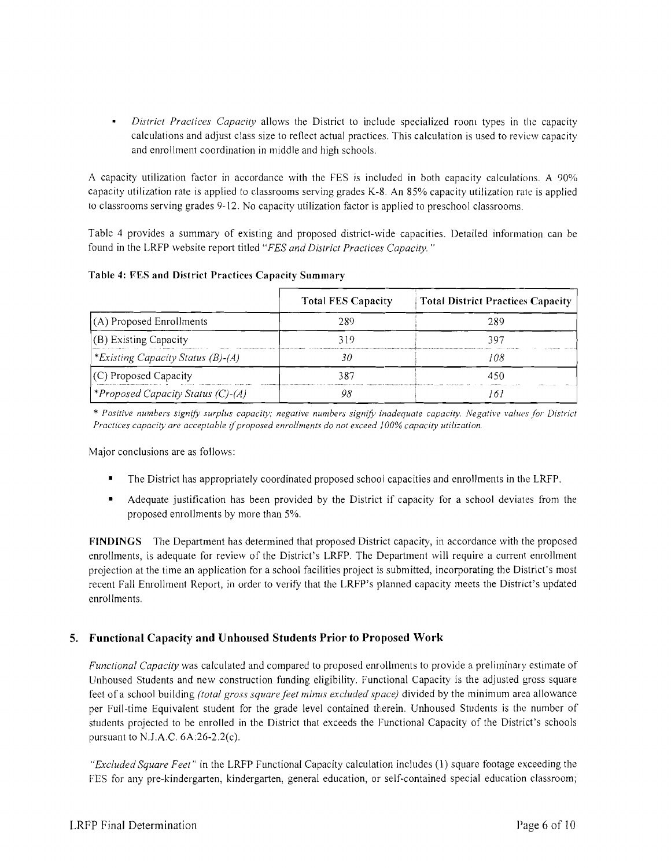*District Practices Capacity* allows the District to include specialized room types in the capacity × calculations and adjust class size to reflect actual practices. This calculation is used to review capacity and enrollment coordination in middle and high schools.

A capacity utilization factor in accordance with the FES is included in both capacity calculations. A 90% capacity utilization rate is applied to classrooms serving grades K-8, An 85% capacity utilization rale is applied to classrooms serving grades 9-12. No capacity utilization factor is applied to preschool classrooms.

Table 4 provides a summary of existing and proposed district-wide capacities. Detailed information can be found in the LRFP website report titled *"FES and District Practices Capacity. "* 

Table 4: FES and District Practices Capacity Summary

|                                          | <b>Total FES Capacity</b> | <b>Total District Practices Capacity</b> |
|------------------------------------------|---------------------------|------------------------------------------|
| (A) Proposed Enrollments                 |                           | 289                                      |
| (B) Existing Capacity                    | 319                       | 397                                      |
| *Existing Capacity Status (B)-(A)        | 36                        | 108                                      |
| (C) Proposed Capacity                    |                           |                                          |
| <i>*Proposed Capacity Status (C)-(A)</i> |                           |                                          |

\* Positive numbers signify surplus capacity; negative numbers signify inadequate capacity. Negative values for District Practices capacity are acceptable if proposed enrollments do not exceed 100% capacity utilization.

Major conclusions are as follows:

- The District has appropriately coordinated proposed school capacities and enrollments in the LRFP.
- Adequate justification has been provided by the District if capacity for a school deviates from the proposed enrollments by more than 5%.

FINDINGS The Department has determined that proposed District capacity, in accordance with the proposed enrollments, is adequate for review of the District's LRFP. The Department will require a current enrollment projection at the time an application for a school facilities project is submitted, incorporating the District's most recent Fall Enrollment Report, in order to verify that the LRFP's planned capacity meets the District's updated enrollments.

# 5. Functional Capacity and Unhoused Students Prior to Proposed Work

*Functional Capacity* was calculated and compared to proposed enrollments to provide a preliminary estimate of Unhoused Students and new construction funding eligibility. Functional Capacity is the adjusted gross square feet of a school building *(total gross square feet minus excluded space)* divided by the minimum area allowance per Full-time Equivalent student for the grade level contained therein. Unhoused Students is the number of students projected to be enrolled in the District that exceeds the Functional Capacity of the District's schools pursuant to N.J.A.C. 6A:26-2.2(c).

*"Excluded Square Feet"* in the LRFP Functional Capacity calculation includes (I) square footage exceeding the FES for any pre-kindergarten, kindergarten, general education, or self-contained special education classroom;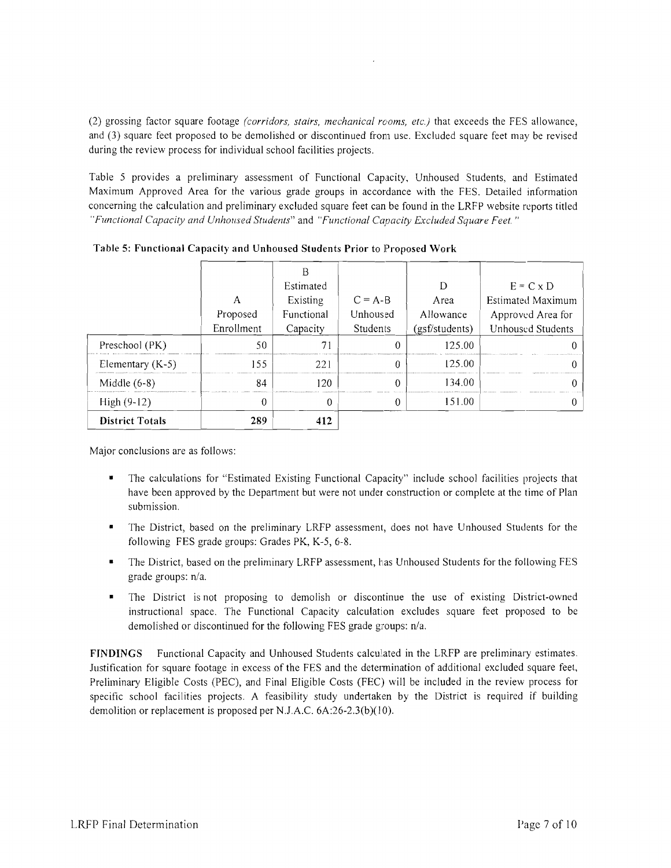(2) grossing factor square footage *(corridors, stairs, mechanical rooms, etc.)* that exceeds the FES allowance, and (3) square feet proposed to be demolished or discontinued from use. Excluded square feet may be revised during the review process for individual school facilities projects.

Table 5 provides a preliminary assessment of Functional Capacity, Unhoused Students, and Estimated Maximum Approved Area for the various grade groups in accordance with the FES. Detailed information concerning the calculation and preliminary excluded square feet can be found in the LRFP website reports titled *"Functional Capacity and Unhoused Students"* and *"Functional Capacity Excluded Square Feet. "* 

| <b>District Totals</b> | 289                    | 412                    |                       |                             |                                               |
|------------------------|------------------------|------------------------|-----------------------|-----------------------------|-----------------------------------------------|
| $High (9-12)$          | 0                      | 0                      |                       | 151.00                      |                                               |
| Middle $(6-8)$         | 84                     | 120                    |                       | 134.00                      |                                               |
| Elementary $(K-5)$     | 155                    | 221                    |                       | 125.00                      |                                               |
| Preschool (PK)         | 50                     |                        |                       | 125.00                      |                                               |
|                        | Proposed<br>Enrollment | Functional<br>Capacity | Students              | Allowance<br>(gsf/students) | Approved Area for<br><b>Unhoused Students</b> |
|                        | А                      | Existing               | $C = A-B$<br>Unhoused | Area                        | <b>Estimated Maximum</b>                      |
|                        |                        | Estimated              |                       |                             | $E = C \times D$                              |

Table 5: Functional Capacity and Unhoused Students Prior to Proposed Work

Major conclusions are as follows:

- The calculations for "Estimated Existing Functional Capacity" include school facilities projects that have been approved by the Department but were not under construction or complete at the time of Plan submission.
- The District, based on the preliminary LRFP assessment, does not have Unhoused Students for the following FES grade groups: Grades PK, K-5, 6-8.
- The District, based on the preliminary LRFP assessment, has Unhoused Students for the following FES grade groups:  $n/a$ .
- The District is not proposing to demolish or discontinue the use of existing District-owned instructional space. The Functional Capacity calculation excludes square feet proposed to be demolished or discontinued for the following FES grade groups: *n1a.*

FINDINGS Functional Capacity and Unhoused Students calculated in the LRFP are preliminary estimates. Justification for square footage in excess of the FES and the determination of additional excluded square feet, Preliminary Eligible Costs (PEC), and Final Eligible Costs (FEC) will be included in the review process for specific school facilities projects. A feasibility study undertaken by the District is required if building demolition or replacement is proposed per N.J.A.C. 6A:26-2.3(b)(10).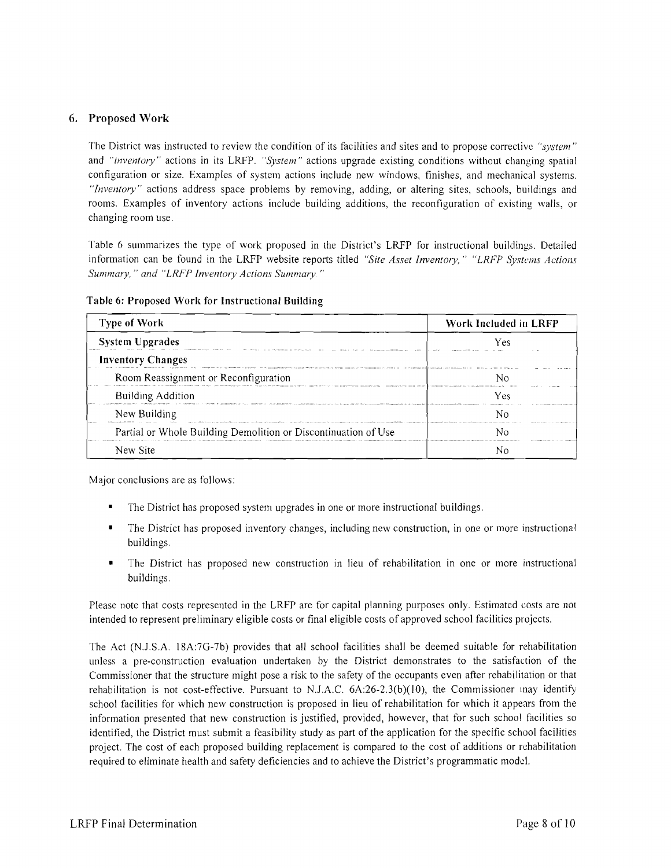## 6. Proposed Work

The District was instructed to review the condition of its facilities and sites and to propose corrective *"system"*  and *"inventory"* actions in its LRFP. *"System"* actions upgrade existing conditions without changing spatial configuration or size. Examples of system actions include new windows, finishes, and mechanical systems. *"Inventory"* actions address space problems by removing, adding, or altering sites, schools, buildings and rooms. Examples of inventory actions include building additions, the reconfiguration of existing walls, or changing room use.

Table 6 summarizes the type of work proposed in the District's LRFP for instructional buildings. Detailed information can be found in the LRFP website reports titled *"Site Asset Inventory," "LRFP Systems Actions Summmy,* " *and "LRFP Inventory Actions Summary "* 

| <b>Type of Work</b>                                            | Work Included in LRFP |  |
|----------------------------------------------------------------|-----------------------|--|
| <b>System Upgrades</b>                                         | V es                  |  |
| <b>Inventory Changes</b>                                       |                       |  |
| Room Reassignment or Reconfiguration                           |                       |  |
| <b>Building Addition</b>                                       | Yes                   |  |
| New Building                                                   |                       |  |
| Partial or Whole Building Demolition or Discontinuation of Use |                       |  |
| New Site                                                       |                       |  |

Table 6: Proposed Work for Instructional Building

Major conclusions are as follows:

- The District has proposed system upgrades in one or more instructional buildings.
- The District has proposed inventory changes, including new construction, in one or more instructional buildings.
- The District has proposed new construction in lieu of rehabilitation in one or more instructional buildings.

Please note that costs represented in the LRFP are for capital planning purposes only. Estimated costs are not intended to represent preliminary eligible costs or final eligible costs of approved school facilities projects.

The Act (N.J.S.A. 18A:7G-7b) provides that all school facilities shall be deemed suitable for rehabilitation unless a pre-construction evaluation undertaken by the District demonstrates to the satisfaction of the Commissioner that the structure might pose a risk to the safety of the occupants even after rehabilitation or that rehabilitation is not cost-effective. Pursuant to N.J.A.C.  $6A:26-2.3(b)(10)$ , the Commissioner unay identify school facilities for which new construction is proposed in lieu of rehabilitation for which it appears from the information presented that new construction is justified, provided, however, that for such school facilities so identified, the District must submit a feasibility study as part of the application for the specific school facilities project. The cost of each proposed building replacement is compared to the cost of additions or rehabilitation required to eliminate health and safety deficiencies and to achieve the District's programmatic model.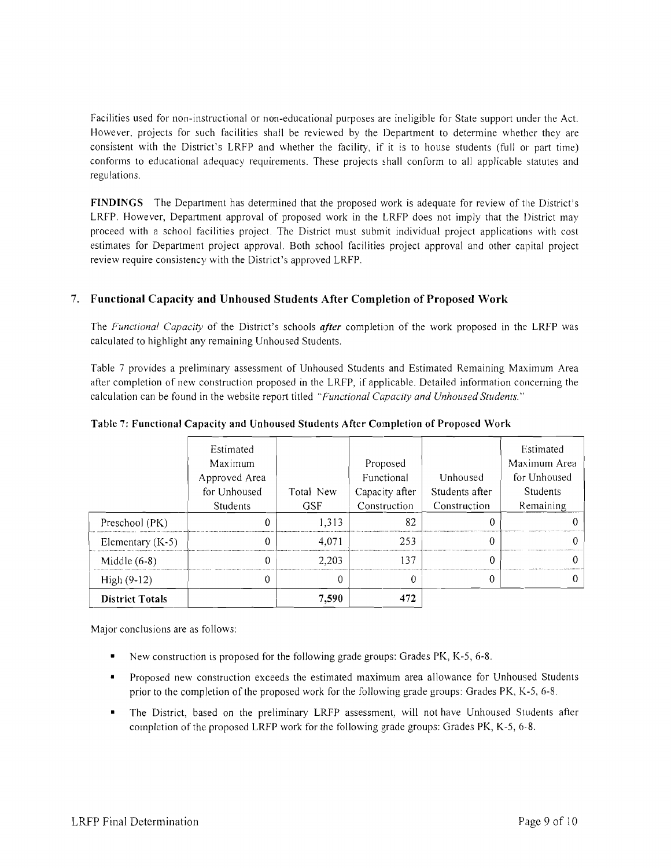Facilities used for non-instructional or non-educational purposes are ineligible for State support under the Act. However, projects for such facilities shall be reviewed by the Department to determine whether they are consistent with the District's LRFP and whether the facility, if it is to house students (full or part time) conforms to educational adequacy requirements. These projects hall conform to all applicable statutes and regulations.

FINDINGS The Department has determined that the proposed work is adequate for review of the District's LRFP. However, Department approval of proposed work in the LRFP does not imply that the District may proceed with a school facilities project. The District must submit individual project applications with cost estimates for Department project approval. Both school facilities project approval and other capital project review require consistency with the District's approved LRFP.

## 7. Functional Capacity and Unhoused Students After Completion of Proposed Work

The *Functional Capacity* of the District's schools *after* completion of the work proposed in the LRFP was calculated to highlight any remaining Unhoused Students.

Table 7 provides a preliminary assessment of Unhoused Students and Estimated Remaining Maximum Area after completion of new construction proposed in the LRFP, if applicable. Detailed information concerning the calculation can be found in the website report titled *"Functional Capacity and Unhoused Students."* 

|                        | Estimated       |            |                |                | Estimated    |
|------------------------|-----------------|------------|----------------|----------------|--------------|
|                        |                 |            |                |                |              |
|                        | Maximum         |            | Proposed       |                | Maximum Area |
|                        | Approved Area   |            | Functional     | Unhoused       | for Unhoused |
|                        | for Unhoused    | Total New  | Capacity after | Students after | Students     |
|                        | <b>Students</b> | <b>GSF</b> | Construction   | Construction   | Remaining    |
| Preschool (PK)         |                 | 1,313      | 82             |                |              |
| Elementary $(K-5)$     |                 | 4.071      | 253            |                |              |
| Middle $(6-8)$         |                 | 2,203      | 137            |                |              |
| $High (9-12)$          |                 |            |                | 0              |              |
| <b>District Totals</b> |                 | 7.590      | 472            |                |              |

Table 7: Functional Capacity and Unhoused Students After Completion of Proposed Work

Major conclusions are as follows:

- New construction is proposed for the following grade groups: Grades PK, K-5, 6-8.
- Proposed new construction exceeds the estimated maximum area allowance for Unhoused Students prior to the completion of the proposed work for the following grade groups: Grades PK, K-5, 6-8.
- The District, based on the preliminary LRFP assessment, will not have Unhoused Students after completion of the proposed LRFP work for the following grade groups: Grades PK, K-5, 6-8.